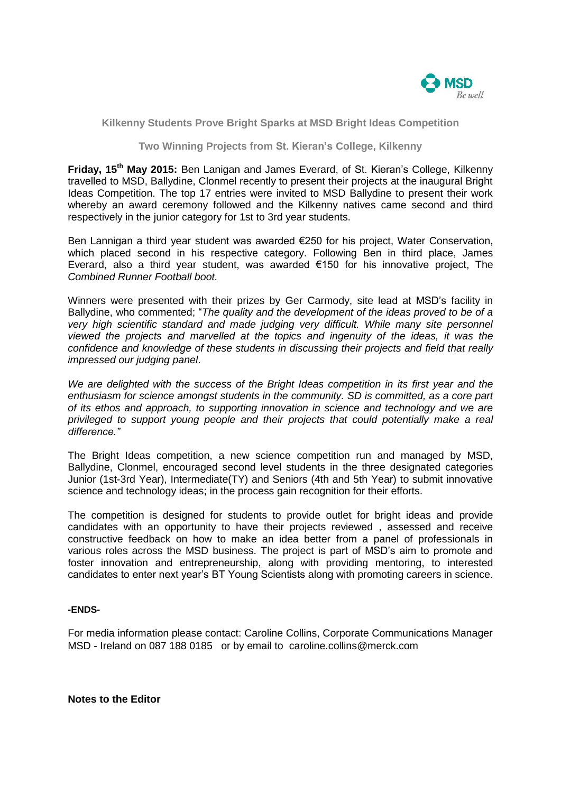

## **Kilkenny Students Prove Bright Sparks at MSD Bright Ideas Competition**

## **Two Winning Projects from St. Kieran's College, Kilkenny**

**Friday, 15th May 2015:** Ben Lanigan and James Everard, of St. Kieran's College, Kilkenny travelled to MSD, Ballydine, Clonmel recently to present their projects at the inaugural Bright Ideas Competition. The top 17 entries were invited to MSD Ballydine to present their work whereby an award ceremony followed and the Kilkenny natives came second and third respectively in the junior category for 1st to 3rd year students.

Ben Lannigan a third year student was awarded €250 for his project, Water Conservation, which placed second in his respective category. Following Ben in third place, James Everard, also a third year student, was awarded  $\epsilon$ 150 for his innovative project, The *Combined Runner Football boot.* 

Winners were presented with their prizes by Ger Carmody, site lead at MSD's facility in Ballydine, who commented; "*The quality and the development of the ideas proved to be of a very high scientific standard and made judging very difficult. While many site personnel viewed the projects and marvelled at the topics and ingenuity of the ideas, it was the confidence and knowledge of these students in discussing their projects and field that really impressed our judging panel*.

*We are delighted with the success of the Bright Ideas competition in its first year and the enthusiasm for science amongst students in the community. SD is committed, as a core part of its ethos and approach, to supporting innovation in science and technology and we are privileged to support young people and their projects that could potentially make a real difference."*

The Bright Ideas competition, a new science competition run and managed by MSD, Ballydine, Clonmel, encouraged second level students in the three designated categories Junior (1st-3rd Year), Intermediate(TY) and Seniors (4th and 5th Year) to submit innovative science and technology ideas; in the process gain recognition for their efforts.

The competition is designed for students to provide outlet for bright ideas and provide candidates with an opportunity to have their projects reviewed , assessed and receive constructive feedback on how to make an idea better from a panel of professionals in various roles across the MSD business. The project is part of MSD's aim to promote and foster innovation and entrepreneurship, along with providing mentoring, to interested candidates to enter next year's BT Young Scientists along with promoting careers in science.

## **-ENDS-**

For media information please contact: Caroline Collins, Corporate Communications Manager MSD - Ireland on 087 188 0185 or by email to [caroline.collins@merck.com](mailto:caroline.collins@merck.com)

**Notes to the Editor**